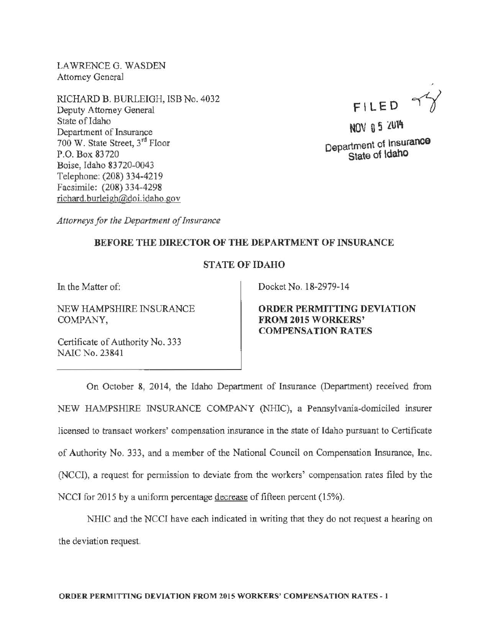LAWRENCE G. WASDEN Attorney General

RICHARD B. BURLEIGH, ISB No. 4032 Deputy Attorney General State of Idaho Department of Insurance 700 W. State Street, 3rd Floor P.O. Box 83720 Boise, Idaho 83 720-0043 Telephone: (208) 334-4219 Facsimile: (208) 334-4298 richard. burleigh@doi. idaho. gov

FILED  $\gamma$ 

NOV 0 5 2014 Department of Insurance State of Idaho

*Attorneys for the Department of Insurance* 

## BEFORE THE DIRECTOR OF THE DEPARTMENT OF INSURANCE

## STATE OF IDAHO

In the Matter of:

NEW HAMPSHIRE INSURANCE COMPANY,

Certificate of Authority No. 333 NAIC No. 23841

Docket No. 18-2979-14

ORDER PERMITTING DEVIATION FROM2015 WORKERS' COMPENSATION RATES

On October 8, 2014, the Idaho Department of Insurance (Department) received from NEW HAMPSHIRE INSURANCE COMPANY (NHIC), a Pennsylvania-domiciled insurer licensed to transact workers' compensation insurance in the state of Idaho pursuant to Certificate of Authority No. 333, and a member of the National Council on Compensation Insurance, Inc. (NCCI), a request for permission to deviate from the workers' compensation rates filed by the NCCI for 2015 by a uniform percentage decrease of fifteen percent (15%).

NHIC and the NCCI have each indicated in writing that they do not request a hearing on the deviation request.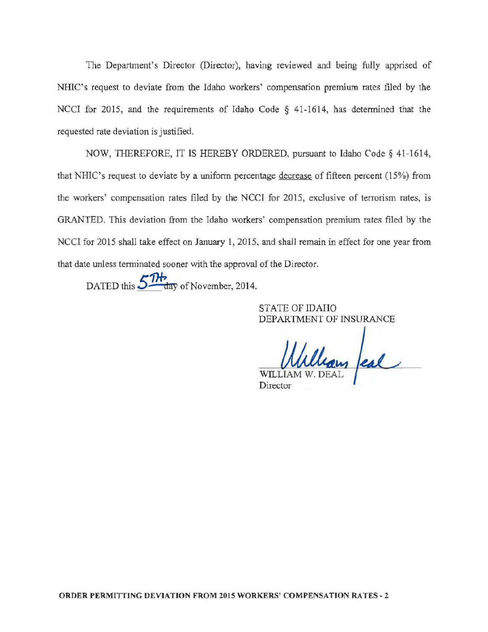The Department's Director (Director), having reviewed and being fully apprised of NHIC's request to deviate from the Idaho workers' compensation premium rates filed by the NCCI for 2015, and the requirements of Idaho Code § 41-1614, has determined that the requested rate deviation is justified.

NOW, THEREFORE, IT IS HEREBY ORDERED, pursuant to Idaho Code§ 41-1614, that NHIC's request to deviate by a uniform percentage decrease of fifteen percent (15%) from the workers' compensation rates filed by the NCCI for 2015, exclusive of terrorism rates, is GRANTED. This deviation from the Idaho workers' compensation premium rates filed by the NCCI for 2015 shall take effect on January 1, 2015, and shall remain in effect for one year from that date unless terminated sooner with the approval of the Director .

DATED this 5<sup>7H</sup> day of November, 2014.

STATE OF IDAHO DEPARTMENT OF INSURANCE

llean feal Director

ORDER PERMITTING DEVIATION FROM 2015 WORKERS' COMPENSATION RATES ~ 2